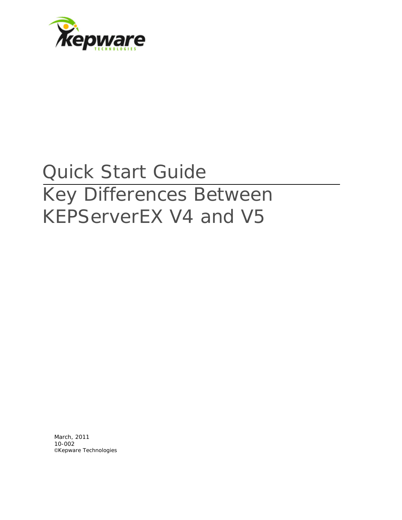

# Quick Start Guide Key Differences Between KEPServerEX V4 and V5

March, 2011 10-002 ©Kepware Technologies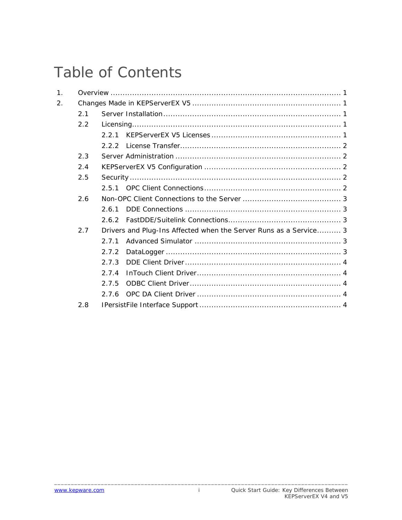## **Table of Contents**

| 1. |     |                                                                   |
|----|-----|-------------------------------------------------------------------|
| 2. |     |                                                                   |
|    | 2.1 |                                                                   |
|    | 2.2 |                                                                   |
|    |     | 2.2.1                                                             |
|    |     | 2.2.2                                                             |
|    | 2.3 |                                                                   |
|    | 2.4 |                                                                   |
|    | 2.5 |                                                                   |
|    |     |                                                                   |
|    | 2.6 |                                                                   |
|    |     | 261                                                               |
|    |     | 262                                                               |
|    | 2.7 | Drivers and Plug-Ins Affected when the Server Runs as a Service 3 |
|    |     | 2.7.1                                                             |
|    |     | 2.7.2                                                             |
|    |     | 2.7.3                                                             |
|    |     | 2.7.4                                                             |
|    |     | 2.7.5                                                             |
|    |     | 2.7.6                                                             |
|    | 2.8 |                                                                   |

 $\mathbf i$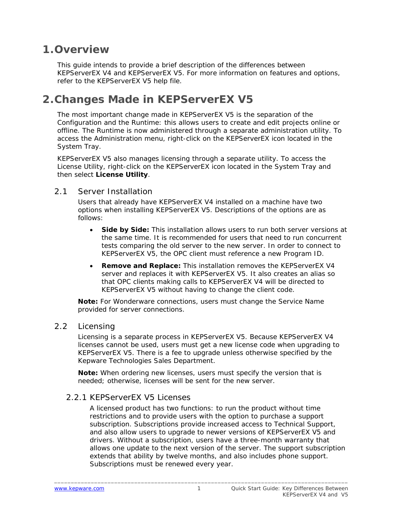### <span id="page-2-0"></span>**1.Overview**

This guide intends to provide a brief description of the differences between KEPServerEX V4 and KEPServerEX V5. For more information on features and options, refer to the KEPServerEX V5 help file.

## **2.Changes Made in KEPServerEX V5**

The most important change made in KEPServerEX V5 is the separation of the Configuration and the Runtime: this allows users to create and edit projects online or offline. The Runtime is now administered through a separate administration utility. To access the Administration menu, right-click on the KEPServerEX icon located in the System Tray.

KEPServerEX V5 also manages licensing through a separate utility. To access the License Utility, right-click on the KEPServerEX icon located in the System Tray and then select **License Utility**.

#### 2.1 Server Installation

Users that already have KEPServerEX V4 installed on a machine have two options when installing KEPServerEX V5. Descriptions of the options are as follows:

- **Side by Side:** This installation allows users to run both server versions at the same time. It is recommended for users that need to run concurrent tests comparing the old server to the new server. In order to connect to KEPServerEX V5, the OPC client must reference a new Program ID.
- **Remove and Replace:** This installation removes the KEPServerEX V4 server and replaces it with KEPServerEX V5. It also creates an alias so that OPC clients making calls to KEPServerEX V4 will be directed to KEPServerEX V5 without having to change the client code.

**Note:** For Wonderware connections, users must change the Service Name provided for server connections.

#### 2.2 Licensing

Licensing is a separate process in KEPServerEX V5. Because KEPServerEX V4 licenses cannot be used, users must get a new license code when upgrading to KEPServerEX V5. There is a fee to upgrade unless otherwise specified by the Kepware Technologies Sales Department.

**Note:** When ordering new licenses, users must specify the version that is needed; otherwise, licenses will be sent for the new server.

#### 2.2.1 KEPServerEX V5 Licenses

A licensed product has two functions: to run the product without time restrictions and to provide users with the option to purchase a support subscription. Subscriptions provide increased access to Technical Support, and also allow users to upgrade to newer versions of KEPServerEX V5 and drivers. Without a subscription, users have a three-month warranty that allows one update to the next version of the server. The support subscription extends that ability by twelve months, and also includes phone support. Subscriptions must be renewed every year.

\_\_\_\_\_\_\_\_\_\_\_\_\_\_\_\_\_\_\_\_\_\_\_\_\_\_\_\_\_\_\_\_\_\_\_\_\_\_\_\_\_\_\_\_\_\_\_\_\_\_\_\_\_\_\_\_\_\_\_\_\_\_\_\_\_\_\_\_\_\_\_\_\_\_\_\_\_\_\_\_\_\_\_\_\_\_\_\_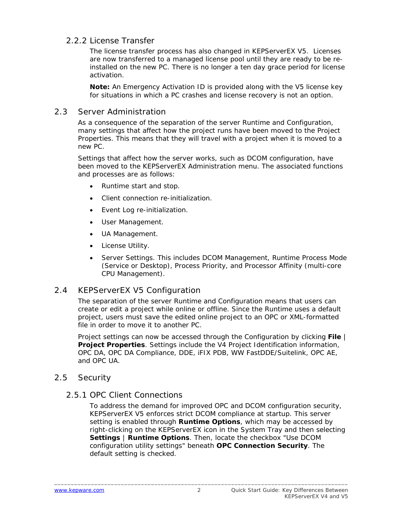#### <span id="page-3-0"></span>2.2.2 License Transfer

The license transfer process has also changed in KEPServerEX V5. Licenses are now transferred to a managed license pool until they are ready to be reinstalled on the new PC. There is no longer a ten day grace period for license activation.

**Note:** An Emergency Activation ID is provided along with the V5 license key for situations in which a PC crashes and license recovery is not an option.

#### 2.3 Server Administration

As a consequence of the separation of the server Runtime and Configuration, many settings that affect how the project runs have been moved to the Project Properties. This means that they will travel with a project when it is moved to a new PC.

Settings that affect how the server works, such as DCOM configuration, have been moved to the KEPServerEX Administration menu. The associated functions and processes are as follows:

- Runtime start and stop.
- Client connection re-initialization.
- Event Log re-initialization.
- User Management.
- UA Management.
- License Utility.
- Server Settings. This includes DCOM Management, Runtime Process Mode (Service or Desktop), Process Priority, and Processor Affinity (multi-core CPU Management).

#### 2.4 KEPServerEX V5 Configuration

The separation of the server Runtime and Configuration means that users can create or edit a project while online or offline. Since the Runtime uses a default project, users must save the edited online project to an OPC or XML-formatted file in order to move it to another PC.

Project settings can now be accessed through the Configuration by clicking **File** | **Project Properties**. Settings include the V4 Project Identification information, OPC DA, OPC DA Compliance, DDE, iFIX PDB, WW FastDDE/Suitelink, OPC AE, and OPC UA.

#### 2.5 Security

#### 2.5.1 OPC Client Connections

To address the demand for improved OPC and DCOM configuration security, KEPServerEX V5 enforces strict DCOM compliance at startup. This server setting is enabled through **Runtime Options**, which may be accessed by right-clicking on the KEPServerEX icon in the System Tray and then selecting **Settings** | **Runtime Options**. Then, locate the checkbox "Use DCOM configuration utility settings" beneath **OPC Connection Security**. The default setting is checked.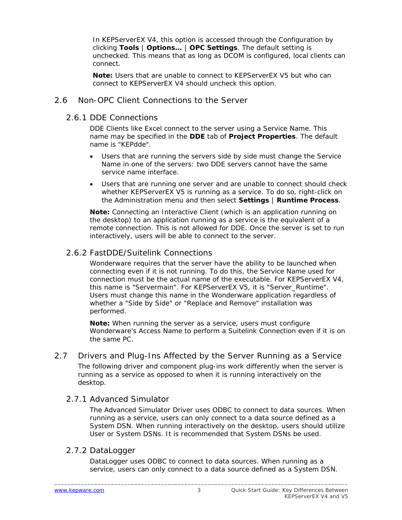<span id="page-4-0"></span>In KEPServerEX V4, this option is accessed through the Configuration by clicking **Tools** | **Options…** | **OPC Settings**. The default setting is unchecked. This means that as long as DCOM is configured, local clients can connect.

**Note:** Users that are unable to connect to KEPServerEX V5 but who can connect to KEPServerEX V4 should uncheck this option.

#### 2.6 Non-OPC Client Connections to the Server

2.6.1 DDE Connections

DDE Clients like Excel connect to the server using a Service Name. This name may be specified in the **DDE** tab of **Project Properties**. The default name is "KEPdde".

- Users that are running the servers side by side must change the Service Name in one of the servers: two DDE servers cannot have the same service name interface.
- Users that are running one server and are unable to connect should check whether KEPServerEX V5 is running as a service. To do so, right-click on the Administration menu and then select **Settings** | **Runtime Process**.

**Note:** Connecting an Interactive Client (which is an application running on the desktop) to an application running as a service is the equivalent of a remote connection. This is not allowed for DDE. Once the server is set to run interactively, users will be able to connect to the server.

#### 2.6.2 FastDDE/Suitelink Connections

Wonderware requires that the server have the ability to be launched when connecting even if it is not running. To do this, the Service Name used for connection must be the actual name of the executable. For KEPServerEX V4, this name is "Servermain". For KEPServerEX V5, it is "Server\_Runtime". Users must change this name in the Wonderware application regardless of whether a "Side by Side" or "Replace and Remove" installation was performed.

**Note:** When running the server as a service, users must configure Wonderware's Access Name to perform a Suitelink Connection even if it is on the same PC.

2.7 Drivers and Plug-Ins Affected by the Server Running as a Service The following driver and component plug-ins work differently when the server is running as a service as opposed to when it is running interactively on the desktop.

#### 2.7.1 Advanced Simulator

The Advanced Simulator Driver uses ODBC to connect to data sources. When running as a service, users can only connect to a data source defined as a System DSN. When running interactively on the desktop, users should utilize User or System DSNs. It is recommended that System DSNs be used.

#### 2.7.2 DataLogger

DataLogger uses ODBC to connect to data sources. When running as a service, users can only connect to a data source defined as a System DSN.